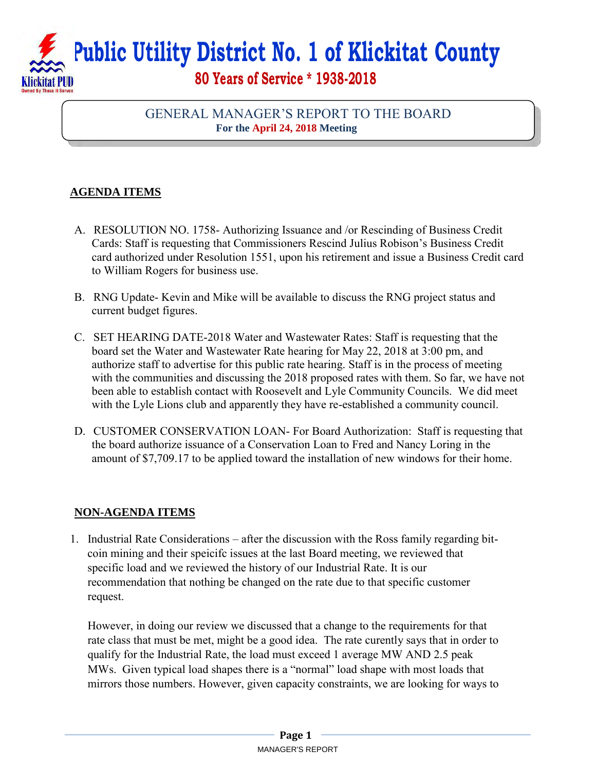**Public Utility District No. 1 of Klickitat County 80 Years of Service \* 1938-2018** 

## GENERAL MANAGER'S REPORT TO THE BOARD **For the April 24, 2018 Meeting**

## **AGENDA ITEMS**

- A. RESOLUTION NO. 1758- Authorizing Issuance and /or Rescinding of Business Credit Cards: Staff is requesting that Commissioners Rescind Julius Robison's Business Credit card authorized under Resolution 1551, upon his retirement and issue a Business Credit card to William Rogers for business use.
- B. RNG Update- Kevin and Mike will be available to discuss the RNG project status and current budget figures.
- C. SET HEARING DATE-2018 Water and Wastewater Rates: Staff is requesting that the board set the Water and Wastewater Rate hearing for May 22, 2018 at 3:00 pm, and authorize staff to advertise for this public rate hearing. Staff is in the process of meeting with the communities and discussing the 2018 proposed rates with them. So far, we have not been able to establish contact with Roosevelt and Lyle Community Councils. We did meet with the Lyle Lions club and apparently they have re-established a community council.
- D. CUSTOMER CONSERVATION LOAN- For Board Authorization: Staff is requesting that the board authorize issuance of a Conservation Loan to Fred and Nancy Loring in the amount of \$7,709.17 to be applied toward the installation of new windows for their home.

## **NON-AGENDA ITEMS**

1. Industrial Rate Considerations – after the discussion with the Ross family regarding bitcoin mining and their speicifc issues at the last Board meeting, we reviewed that specific load and we reviewed the history of our Industrial Rate. It is our recommendation that nothing be changed on the rate due to that specific customer request.

However, in doing our review we discussed that a change to the requirements for that rate class that must be met, might be a good idea. The rate curently says that in order to qualify for the Industrial Rate, the load must exceed 1 average MW AND 2.5 peak MWs. Given typical load shapes there is a "normal" load shape with most loads that mirrors those numbers. However, given capacity constraints, we are looking for ways to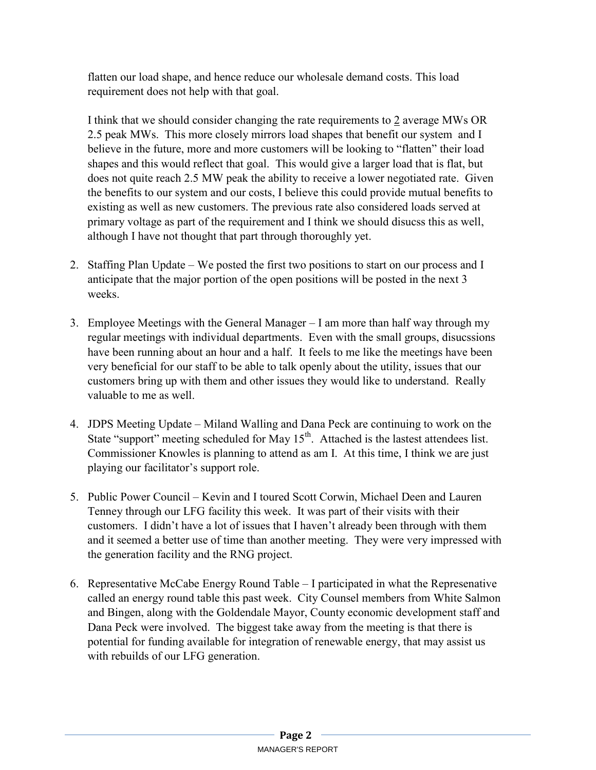flatten our load shape, and hence reduce our wholesale demand costs. This load requirement does not help with that goal.

I think that we should consider changing the rate requirements to 2 average MWs OR 2.5 peak MWs. This more closely mirrors load shapes that benefit our system and I believe in the future, more and more customers will be looking to "flatten" their load shapes and this would reflect that goal. This would give a larger load that is flat, but does not quite reach 2.5 MW peak the ability to receive a lower negotiated rate. Given the benefits to our system and our costs, I believe this could provide mutual benefits to existing as well as new customers. The previous rate also considered loads served at primary voltage as part of the requirement and I think we should disucss this as well, although I have not thought that part through thoroughly yet.

- 2. Staffing Plan Update We posted the first two positions to start on our process and I anticipate that the major portion of the open positions will be posted in the next 3 weeks.
- 3. Employee Meetings with the General Manager I am more than half way through my regular meetings with individual departments. Even with the small groups, disucssions have been running about an hour and a half. It feels to me like the meetings have been very beneficial for our staff to be able to talk openly about the utility, issues that our customers bring up with them and other issues they would like to understand. Really valuable to me as well.
- 4. JDPS Meeting Update Miland Walling and Dana Peck are continuing to work on the State "support" meeting scheduled for May  $15<sup>th</sup>$ . Attached is the lastest attendees list. Commissioner Knowles is planning to attend as am I. At this time, I think we are just playing our facilitator's support role.
- 5. Public Power Council Kevin and I toured Scott Corwin, Michael Deen and Lauren Tenney through our LFG facility this week. It was part of their visits with their customers. I didn't have a lot of issues that I haven't already been through with them and it seemed a better use of time than another meeting. They were very impressed with the generation facility and the RNG project.
- 6. Representative McCabe Energy Round Table I participated in what the Represenative called an energy round table this past week. City Counsel members from White Salmon and Bingen, along with the Goldendale Mayor, County economic development staff and Dana Peck were involved. The biggest take away from the meeting is that there is potential for funding available for integration of renewable energy, that may assist us with rebuilds of our LFG generation.